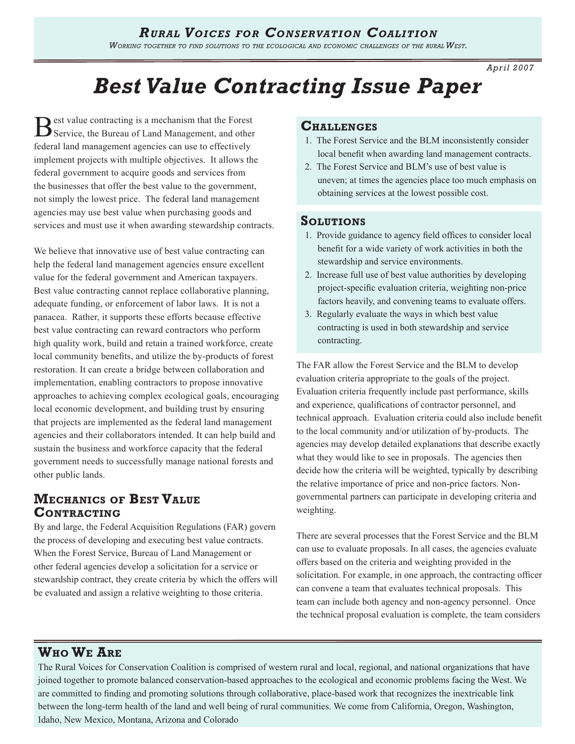*Working together to find solutions to the ecological and economic challenges of the rural West.* 

*Apr il 2007*

# *Best Value Contracting Issue Paper*

Best value contracting is a mechanism that the Forest Service, the Bureau of Land Management, and other federal land management agencies can use to effectively implement projects with multiple objectives. It allows the federal government to acquire goods and services from the businesses that offer the best value to the government, not simply the lowest price. The federal land management agencies may use best value when purchasing goods and services and must use it when awarding stewardship contracts.

We believe that innovative use of best value contracting can help the federal land management agencies ensure excellent value for the federal government and American taxpayers. Best value contracting cannot replace collaborative planning, adequate funding, or enforcement of labor laws. It is not a panacea. Rather, it supports these efforts because effective best value contracting can reward contractors who perform high quality work, build and retain a trained workforce, create local community benefits, and utilize the by-products of forest restoration. It can create a bridge between collaboration and implementation, enabling contractors to propose innovative approaches to achieving complex ecological goals, encouraging local economic development, and building trust by ensuring that projects are implemented as the federal land management agencies and their collaborators intended. It can help build and sustain the business and workforce capacity that the federal government needs to successfully manage national forests and other public lands.

# **Mechanics of Best Value Contracting**

By and large, the Federal Acquisition Regulations (FAR) govern the process of developing and executing best value contracts. When the Forest Service, Bureau of Land Management or other federal agencies develop a solicitation for a service or stewardship contract, they create criteria by which the offers will be evaluated and assign a relative weighting to those criteria.

### **Challenges**

- 1. The Forest Service and the BLM inconsistently consider local benefit when awarding land management contracts.
- 2. The Forest Service and BLM's use of best value is uneven; at times the agencies place too much emphasis on obtaining services at the lowest possible cost.

### **Solutions**

- 1. Provide guidance to agency field offices to consider local benefit for a wide variety of work activities in both the stewardship and service environments.
- 2. Increase full use of best value authorities by developing project-specific evaluation criteria, weighting non-price factors heavily, and convening teams to evaluate offers.
- 3. Regularly evaluate the ways in which best value contracting is used in both stewardship and service contracting.

The FAR allow the Forest Service and the BLM to develop evaluation criteria appropriate to the goals of the project. Evaluation criteria frequently include past performance, skills and experience, qualifications of contractor personnel, and technical approach. Evaluation criteria could also include benefit to the local community and/or utilization of by-products. The agencies may develop detailed explanations that describe exactly what they would like to see in proposals. The agencies then decide how the criteria will be weighted, typically by describing the relative importance of price and non-price factors. Nongovernmental partners can participate in developing criteria and weighting.

There are several processes that the Forest Service and the BLM can use to evaluate proposals. In all cases, the agencies evaluate offers based on the criteria and weighting provided in the solicitation. For example, in one approach, the contracting officer can convene a team that evaluates technical proposals. This team can include both agency and non-agency personnel. Once the technical proposal evaluation is complete, the team considers

## **Who We Are**

The Rural Voices for Conservation Coalition is comprised of western rural and local, regional, and national organizations that have joined together to promote balanced conservation-based approaches to the ecological and economic problems facing the West. We are committed to finding and promoting solutions through collaborative, place-based work that recognizes the inextricable link between the long-term health of the land and well being of rural communities. We come from California, Oregon, Washington, Idaho, New Mexico, Montana, Arizona and Colorado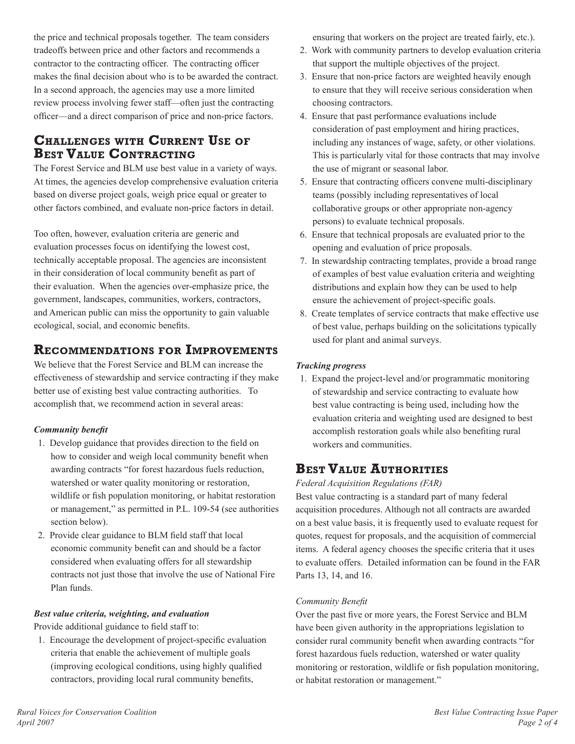the price and technical proposals together. The team considers tradeoffs between price and other factors and recommends a contractor to the contracting officer. The contracting officer makes the final decision about who is to be awarded the contract. In a second approach, the agencies may use a more limited review process involving fewer staff—often just the contracting officer—and a direct comparison of price and non-price factors.

# **Challenges with Current Use of Best Value Contracting**

The Forest Service and BLM use best value in a variety of ways. At times, the agencies develop comprehensive evaluation criteria based on diverse project goals, weigh price equal or greater to other factors combined, and evaluate non-price factors in detail.

Too often, however, evaluation criteria are generic and evaluation processes focus on identifying the lowest cost, technically acceptable proposal. The agencies are inconsistent in their consideration of local community benefit as part of their evaluation. When the agencies over-emphasize price, the government, landscapes, communities, workers, contractors, and American public can miss the opportunity to gain valuable ecological, social, and economic benefits.

# **Recommendations for Improvements**

We believe that the Forest Service and BLM can increase the effectiveness of stewardship and service contracting if they make better use of existing best value contracting authorities. To accomplish that, we recommend action in several areas:

### *Community benefit*

- 1. Develop guidance that provides direction to the field on how to consider and weigh local community benefit when awarding contracts "for forest hazardous fuels reduction, watershed or water quality monitoring or restoration, wildlife or fish population monitoring, or habitat restoration or management," as permitted in P.L. 109-54 (see authorities section below).
- 2. Provide clear guidance to BLM field staff that local economic community benefit can and should be a factor considered when evaluating offers for all stewardship contracts not just those that involve the use of National Fire Plan funds.

### *Best value criteria, weighting, and evaluation*

Provide additional guidance to field staff to:

1. Encourage the development of project-specific evaluation criteria that enable the achievement of multiple goals (improving ecological conditions, using highly qualified contractors, providing local rural community benefits,

ensuring that workers on the project are treated fairly, etc.).

- 2. Work with community partners to develop evaluation criteria that support the multiple objectives of the project.
- 3. Ensure that non-price factors are weighted heavily enough to ensure that they will receive serious consideration when choosing contractors.
- 4. Ensure that past performance evaluations include consideration of past employment and hiring practices, including any instances of wage, safety, or other violations. This is particularly vital for those contracts that may involve the use of migrant or seasonal labor.
- 5. Ensure that contracting officers convene multi-disciplinary teams (possibly including representatives of local collaborative groups or other appropriate non-agency persons) to evaluate technical proposals.
- 6. Ensure that technical proposals are evaluated prior to the opening and evaluation of price proposals.
- 7. In stewardship contracting templates, provide a broad range of examples of best value evaluation criteria and weighting distributions and explain how they can be used to help ensure the achievement of project-specific goals.
- 8. Create templates of service contracts that make effective use of best value, perhaps building on the solicitations typically used for plant and animal surveys.

### *Tracking progress*

1. Expand the project-level and/or programmatic monitoring of stewardship and service contracting to evaluate how best value contracting is being used, including how the evaluation criteria and weighting used are designed to best accomplish restoration goals while also benefiting rural workers and communities.

# **Best Value Authorities**

*Federal Acquisition Regulations (FAR)*

Best value contracting is a standard part of many federal acquisition procedures. Although not all contracts are awarded on a best value basis, it is frequently used to evaluate request for quotes, request for proposals, and the acquisition of commercial items. A federal agency chooses the specific criteria that it uses to evaluate offers. Detailed information can be found in the FAR Parts 13, 14, and 16.

### *Community Benefit*

Over the past five or more years, the Forest Service and BLM have been given authority in the appropriations legislation to consider rural community benefit when awarding contracts "for forest hazardous fuels reduction, watershed or water quality monitoring or restoration, wildlife or fish population monitoring, or habitat restoration or management."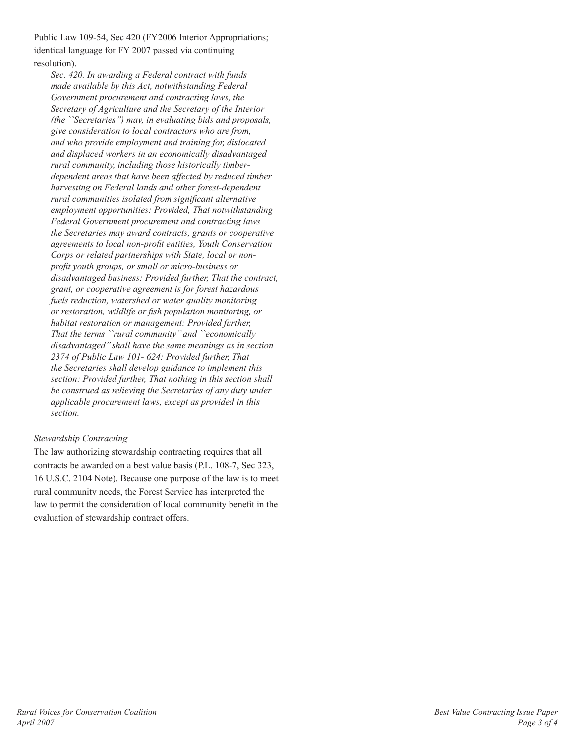Public Law 109-54, Sec 420 (FY2006 Interior Appropriations; identical language for FY 2007 passed via continuing resolution).

*Sec. 420. In awarding a Federal contract with funds made available by this Act, notwithstanding Federal Government procurement and contracting laws, the Secretary of Agriculture and the Secretary of the Interior (the ``Secretaries'') may, in evaluating bids and proposals, give consideration to local contractors who are from, and who provide employment and training for, dislocated and displaced workers in an economically disadvantaged rural community, including those historically timberdependent areas that have been affected by reduced timber harvesting on Federal lands and other forest-dependent rural communities isolated from significant alternative employment opportunities: Provided, That notwithstanding Federal Government procurement and contracting laws the Secretaries may award contracts, grants or cooperative agreements to local non-profit entities, Youth Conservation Corps or related partnerships with State, local or nonprofit youth groups, or small or micro-business or disadvantaged business: Provided further, That the contract, grant, or cooperative agreement is for forest hazardous fuels reduction, watershed or water quality monitoring or restoration, wildlife or fish population monitoring, or habitat restoration or management: Provided further, That the terms ``rural community'' and ``economically disadvantaged'' shall have the same meanings as in section 2374 of Public Law 101- 624: Provided further, That the Secretaries shall develop guidance to implement this section: Provided further, That nothing in this section shall be construed as relieving the Secretaries of any duty under applicable procurement laws, except as provided in this section.*

### *Stewardship Contracting*

The law authorizing stewardship contracting requires that all contracts be awarded on a best value basis (P.L. 108-7, Sec 323, 16 U.S.C. 2104 Note). Because one purpose of the law is to meet rural community needs, the Forest Service has interpreted the law to permit the consideration of local community benefit in the evaluation of stewardship contract offers.